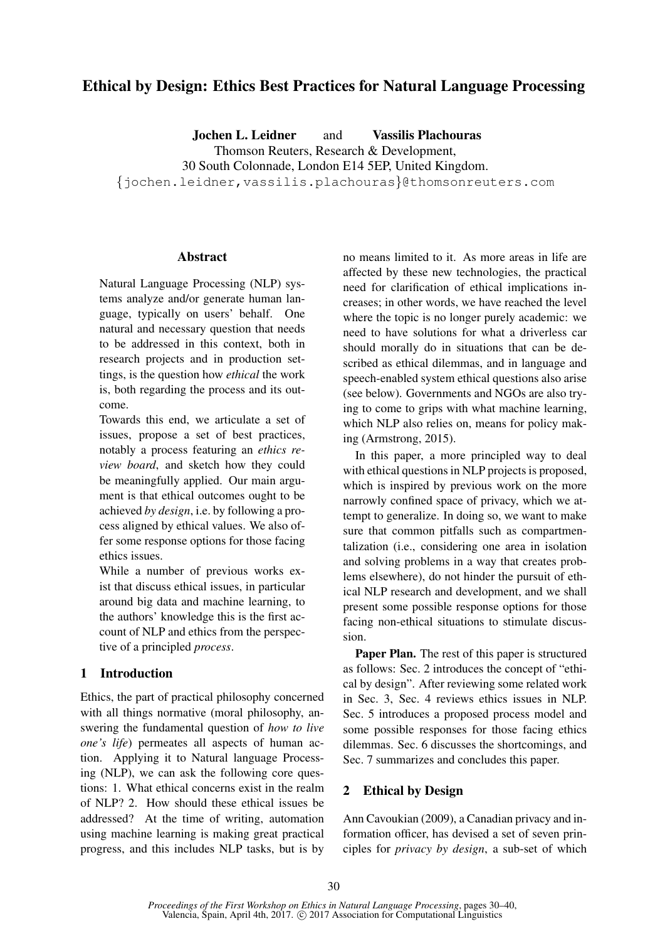# Ethical by Design: Ethics Best Practices for Natural Language Processing

Jochen L. Leidner and Vassilis Plachouras Thomson Reuters, Research & Development, 30 South Colonnade, London E14 5EP, United Kingdom. {jochen.leidner,vassilis.plachouras}@thomsonreuters.com

### Abstract

Natural Language Processing (NLP) systems analyze and/or generate human language, typically on users' behalf. One natural and necessary question that needs to be addressed in this context, both in research projects and in production settings, is the question how *ethical* the work is, both regarding the process and its outcome.

Towards this end, we articulate a set of issues, propose a set of best practices, notably a process featuring an *ethics review board*, and sketch how they could be meaningfully applied. Our main argument is that ethical outcomes ought to be achieved *by design*, i.e. by following a process aligned by ethical values. We also offer some response options for those facing ethics issues.

While a number of previous works exist that discuss ethical issues, in particular around big data and machine learning, to the authors' knowledge this is the first account of NLP and ethics from the perspective of a principled *process*.

### 1 Introduction

Ethics, the part of practical philosophy concerned with all things normative (moral philosophy, answering the fundamental question of *how to live one's life*) permeates all aspects of human action. Applying it to Natural language Processing (NLP), we can ask the following core questions: 1. What ethical concerns exist in the realm of NLP? 2. How should these ethical issues be addressed? At the time of writing, automation using machine learning is making great practical progress, and this includes NLP tasks, but is by no means limited to it. As more areas in life are affected by these new technologies, the practical need for clarification of ethical implications increases; in other words, we have reached the level where the topic is no longer purely academic: we need to have solutions for what a driverless car should morally do in situations that can be described as ethical dilemmas, and in language and speech-enabled system ethical questions also arise (see below). Governments and NGOs are also trying to come to grips with what machine learning, which NLP also relies on, means for policy making (Armstrong, 2015).

In this paper, a more principled way to deal with ethical questions in NLP projects is proposed, which is inspired by previous work on the more narrowly confined space of privacy, which we attempt to generalize. In doing so, we want to make sure that common pitfalls such as compartmentalization (i.e., considering one area in isolation and solving problems in a way that creates problems elsewhere), do not hinder the pursuit of ethical NLP research and development, and we shall present some possible response options for those facing non-ethical situations to stimulate discussion.

Paper Plan. The rest of this paper is structured as follows: Sec. 2 introduces the concept of "ethical by design". After reviewing some related work in Sec. 3, Sec. 4 reviews ethics issues in NLP. Sec. 5 introduces a proposed process model and some possible responses for those facing ethics dilemmas. Sec. 6 discusses the shortcomings, and Sec. 7 summarizes and concludes this paper.

# 2 Ethical by Design

Ann Cavoukian (2009), a Canadian privacy and information officer, has devised a set of seven principles for *privacy by design*, a sub-set of which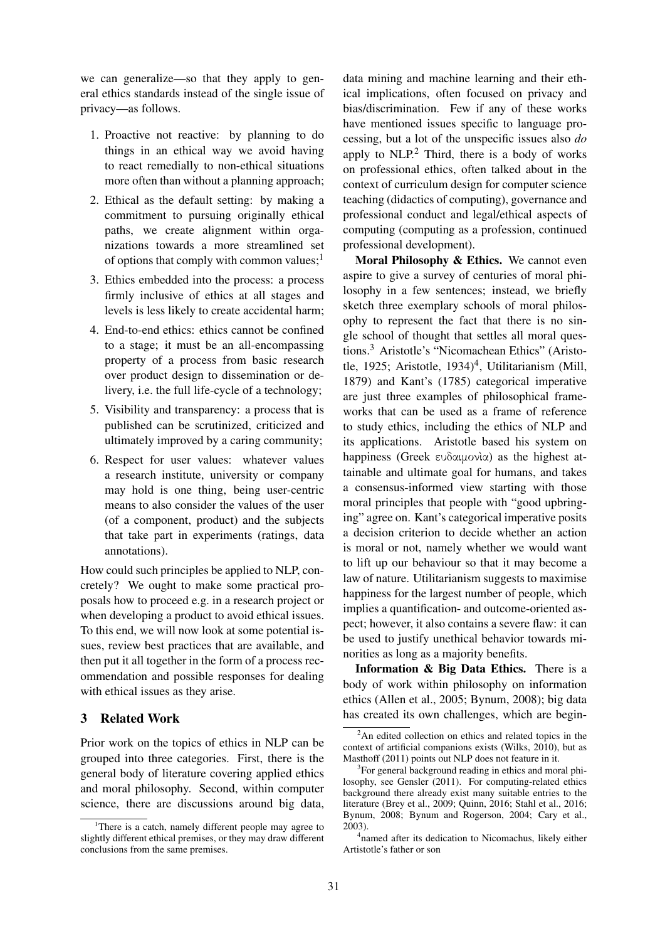we can generalize—so that they apply to general ethics standards instead of the single issue of privacy—as follows.

- 1. Proactive not reactive: by planning to do things in an ethical way we avoid having to react remedially to non-ethical situations more often than without a planning approach;
- 2. Ethical as the default setting: by making a commitment to pursuing originally ethical paths, we create alignment within organizations towards a more streamlined set of options that comply with common values; $<sup>1</sup>$ </sup>
- 3. Ethics embedded into the process: a process firmly inclusive of ethics at all stages and levels is less likely to create accidental harm;
- 4. End-to-end ethics: ethics cannot be confined to a stage; it must be an all-encompassing property of a process from basic research over product design to dissemination or delivery, i.e. the full life-cycle of a technology;
- 5. Visibility and transparency: a process that is published can be scrutinized, criticized and ultimately improved by a caring community;
- 6. Respect for user values: whatever values a research institute, university or company may hold is one thing, being user-centric means to also consider the values of the user (of a component, product) and the subjects that take part in experiments (ratings, data annotations).

How could such principles be applied to NLP, concretely? We ought to make some practical proposals how to proceed e.g. in a research project or when developing a product to avoid ethical issues. To this end, we will now look at some potential issues, review best practices that are available, and then put it all together in the form of a process recommendation and possible responses for dealing with ethical issues as they arise.

# 3 Related Work

Prior work on the topics of ethics in NLP can be grouped into three categories. First, there is the general body of literature covering applied ethics and moral philosophy. Second, within computer science, there are discussions around big data,

data mining and machine learning and their ethical implications, often focused on privacy and bias/discrimination. Few if any of these works have mentioned issues specific to language processing, but a lot of the unspecific issues also *do* apply to  $NLP<sup>2</sup>$ . Third, there is a body of works on professional ethics, often talked about in the context of curriculum design for computer science teaching (didactics of computing), governance and professional conduct and legal/ethical aspects of computing (computing as a profession, continued professional development).

Moral Philosophy & Ethics. We cannot even aspire to give a survey of centuries of moral philosophy in a few sentences; instead, we briefly sketch three exemplary schools of moral philosophy to represent the fact that there is no single school of thought that settles all moral questions.<sup>3</sup> Aristotle's "Nicomachean Ethics" (Aristotle, 1925; Aristotle, 1934)<sup>4</sup>, Utilitarianism (Mill, 1879) and Kant's (1785) categorical imperative are just three examples of philosophical frameworks that can be used as a frame of reference to study ethics, including the ethics of NLP and its applications. Aristotle based his system on happiness (Greek ευδαιμονὶα) as the highest attainable and ultimate goal for humans, and takes a consensus-informed view starting with those moral principles that people with "good upbringing" agree on. Kant's categorical imperative posits a decision criterion to decide whether an action is moral or not, namely whether we would want to lift up our behaviour so that it may become a law of nature. Utilitarianism suggests to maximise happiness for the largest number of people, which implies a quantification- and outcome-oriented aspect; however, it also contains a severe flaw: it can be used to justify unethical behavior towards minorities as long as a majority benefits.

Information & Big Data Ethics. There is a body of work within philosophy on information ethics (Allen et al., 2005; Bynum, 2008); big data has created its own challenges, which are begin-

<sup>&</sup>lt;sup>1</sup>There is a catch, namely different people may agree to slightly different ethical premises, or they may draw different conclusions from the same premises.

 $2$ An edited collection on ethics and related topics in the context of artificial companions exists (Wilks, 2010), but as Masthoff (2011) points out NLP does not feature in it.

<sup>&</sup>lt;sup>3</sup>For general background reading in ethics and moral philosophy, see Gensler (2011). For computing-related ethics background there already exist many suitable entries to the literature (Brey et al., 2009; Quinn, 2016; Stahl et al., 2016; Bynum, 2008; Bynum and Rogerson, 2004; Cary et al., 2003).

<sup>4</sup> named after its dedication to Nicomachus, likely either Artistotle's father or son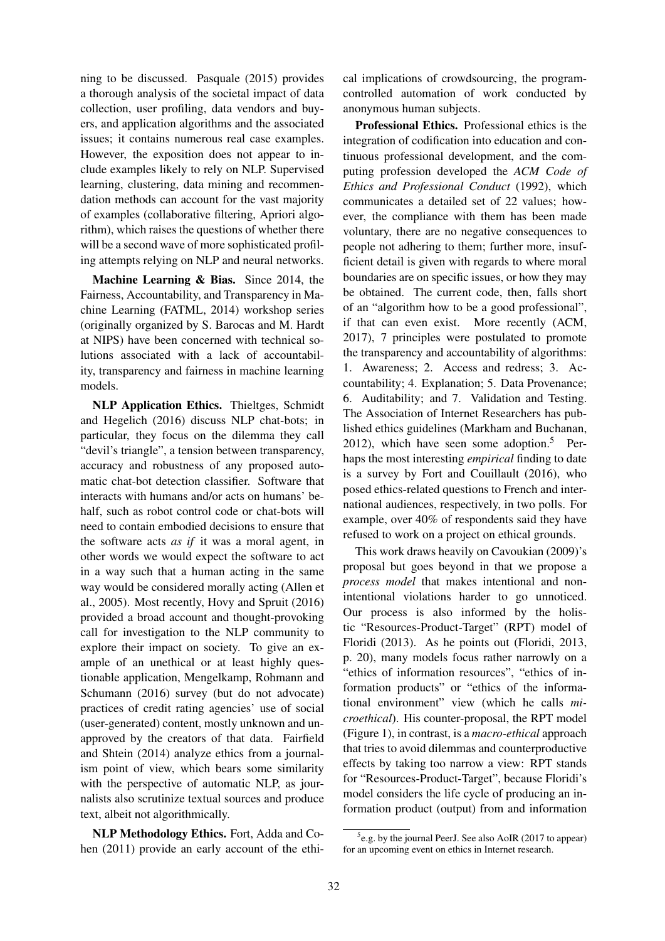ning to be discussed. Pasquale (2015) provides a thorough analysis of the societal impact of data collection, user profiling, data vendors and buyers, and application algorithms and the associated issues; it contains numerous real case examples. However, the exposition does not appear to include examples likely to rely on NLP. Supervised learning, clustering, data mining and recommendation methods can account for the vast majority of examples (collaborative filtering, Apriori algorithm), which raises the questions of whether there will be a second wave of more sophisticated profiling attempts relying on NLP and neural networks.

Machine Learning & Bias. Since 2014, the Fairness, Accountability, and Transparency in Machine Learning (FATML, 2014) workshop series (originally organized by S. Barocas and M. Hardt at NIPS) have been concerned with technical solutions associated with a lack of accountability, transparency and fairness in machine learning models.

NLP Application Ethics. Thieltges, Schmidt and Hegelich (2016) discuss NLP chat-bots; in particular, they focus on the dilemma they call "devil's triangle", a tension between transparency, accuracy and robustness of any proposed automatic chat-bot detection classifier. Software that interacts with humans and/or acts on humans' behalf, such as robot control code or chat-bots will need to contain embodied decisions to ensure that the software acts *as if* it was a moral agent, in other words we would expect the software to act in a way such that a human acting in the same way would be considered morally acting (Allen et al., 2005). Most recently, Hovy and Spruit (2016) provided a broad account and thought-provoking call for investigation to the NLP community to explore their impact on society. To give an example of an unethical or at least highly questionable application, Mengelkamp, Rohmann and Schumann (2016) survey (but do not advocate) practices of credit rating agencies' use of social (user-generated) content, mostly unknown and unapproved by the creators of that data. Fairfield and Shtein (2014) analyze ethics from a journalism point of view, which bears some similarity with the perspective of automatic NLP, as journalists also scrutinize textual sources and produce text, albeit not algorithmically.

NLP Methodology Ethics. Fort, Adda and Cohen (2011) provide an early account of the ethical implications of crowdsourcing, the programcontrolled automation of work conducted by anonymous human subjects.

Professional Ethics. Professional ethics is the integration of codification into education and continuous professional development, and the computing profession developed the *ACM Code of Ethics and Professional Conduct* (1992), which communicates a detailed set of 22 values; however, the compliance with them has been made voluntary, there are no negative consequences to people not adhering to them; further more, insufficient detail is given with regards to where moral boundaries are on specific issues, or how they may be obtained. The current code, then, falls short of an "algorithm how to be a good professional", if that can even exist. More recently (ACM, 2017), 7 principles were postulated to promote the transparency and accountability of algorithms: 1. Awareness; 2. Access and redress; 3. Accountability; 4. Explanation; 5. Data Provenance; 6. Auditability; and 7. Validation and Testing. The Association of Internet Researchers has published ethics guidelines (Markham and Buchanan, 2012), which have seen some adoption.<sup>5</sup> Perhaps the most interesting *empirical* finding to date is a survey by Fort and Couillault (2016), who posed ethics-related questions to French and international audiences, respectively, in two polls. For example, over 40% of respondents said they have refused to work on a project on ethical grounds.

This work draws heavily on Cavoukian (2009)'s proposal but goes beyond in that we propose a *process model* that makes intentional and nonintentional violations harder to go unnoticed. Our process is also informed by the holistic "Resources-Product-Target" (RPT) model of Floridi (2013). As he points out (Floridi, 2013, p. 20), many models focus rather narrowly on a "ethics of information resources", "ethics of information products" or "ethics of the informational environment" view (which he calls *microethical*). His counter-proposal, the RPT model (Figure 1), in contrast, is a *macro-ethical* approach that tries to avoid dilemmas and counterproductive effects by taking too narrow a view: RPT stands for "Resources-Product-Target", because Floridi's model considers the life cycle of producing an information product (output) from and information

<sup>&</sup>lt;sup>5</sup>e.g. by the journal PeerJ. See also AoIR (2017 to appear) for an upcoming event on ethics in Internet research.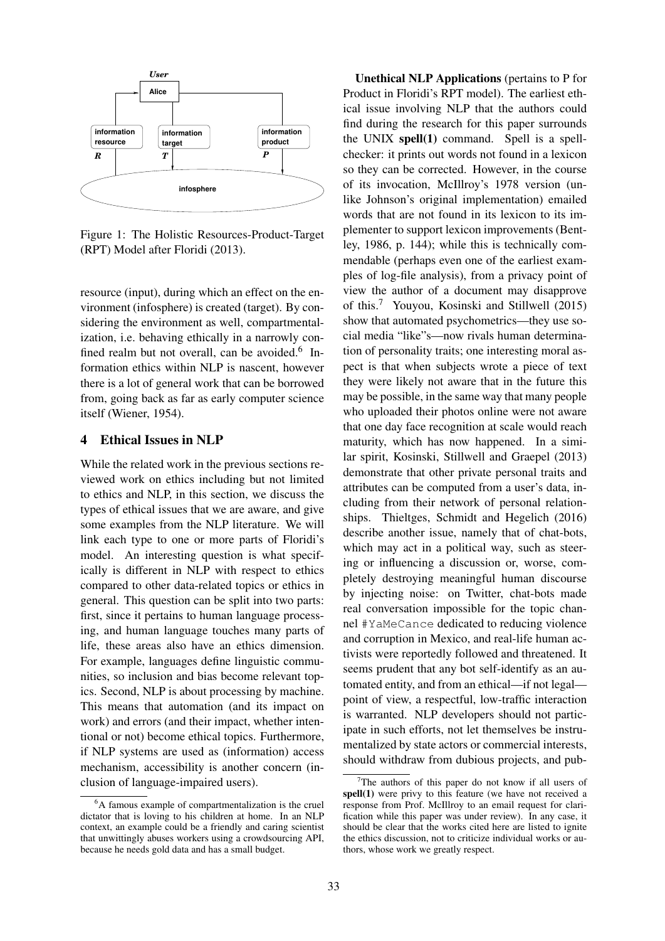

Figure 1: The Holistic Resources-Product-Target (RPT) Model after Floridi (2013).

resource (input), during which an effect on the environment (infosphere) is created (target). By considering the environment as well, compartmentalization, i.e. behaving ethically in a narrowly confined realm but not overall, can be avoided. $6$  Information ethics within NLP is nascent, however there is a lot of general work that can be borrowed from, going back as far as early computer science itself (Wiener, 1954).

## 4 Ethical Issues in NLP

While the related work in the previous sections reviewed work on ethics including but not limited to ethics and NLP, in this section, we discuss the types of ethical issues that we are aware, and give some examples from the NLP literature. We will link each type to one or more parts of Floridi's model. An interesting question is what specifically is different in NLP with respect to ethics compared to other data-related topics or ethics in general. This question can be split into two parts: first, since it pertains to human language processing, and human language touches many parts of life, these areas also have an ethics dimension. For example, languages define linguistic communities, so inclusion and bias become relevant topics. Second, NLP is about processing by machine. This means that automation (and its impact on work) and errors (and their impact, whether intentional or not) become ethical topics. Furthermore, if NLP systems are used as (information) access mechanism, accessibility is another concern (inclusion of language-impaired users).

Unethical NLP Applications (pertains to P for Product in Floridi's RPT model). The earliest ethical issue involving NLP that the authors could find during the research for this paper surrounds the UNIX spell(1) command. Spell is a spellchecker: it prints out words not found in a lexicon so they can be corrected. However, in the course of its invocation, McIllroy's 1978 version (unlike Johnson's original implementation) emailed words that are not found in its lexicon to its implementer to support lexicon improvements (Bentley, 1986, p. 144); while this is technically commendable (perhaps even one of the earliest examples of log-file analysis), from a privacy point of view the author of a document may disapprove of this.<sup>7</sup> Youyou, Kosinski and Stillwell (2015) show that automated psychometrics—they use social media "like"s—now rivals human determination of personality traits; one interesting moral aspect is that when subjects wrote a piece of text they were likely not aware that in the future this may be possible, in the same way that many people who uploaded their photos online were not aware that one day face recognition at scale would reach maturity, which has now happened. In a similar spirit, Kosinski, Stillwell and Graepel (2013) demonstrate that other private personal traits and attributes can be computed from a user's data, including from their network of personal relationships. Thieltges, Schmidt and Hegelich (2016) describe another issue, namely that of chat-bots, which may act in a political way, such as steering or influencing a discussion or, worse, completely destroying meaningful human discourse by injecting noise: on Twitter, chat-bots made real conversation impossible for the topic channel #YaMeCance dedicated to reducing violence and corruption in Mexico, and real-life human activists were reportedly followed and threatened. It seems prudent that any bot self-identify as an automated entity, and from an ethical—if not legal point of view, a respectful, low-traffic interaction is warranted. NLP developers should not participate in such efforts, not let themselves be instrumentalized by state actors or commercial interests, should withdraw from dubious projects, and pub-

<sup>&</sup>lt;sup>6</sup>A famous example of compartmentalization is the cruel dictator that is loving to his children at home. In an NLP context, an example could be a friendly and caring scientist that unwittingly abuses workers using a crowdsourcing API, because he needs gold data and has a small budget.

 $7$ The authors of this paper do not know if all users of spell(1) were privy to this feature (we have not received a response from Prof. McIllroy to an email request for clarification while this paper was under review). In any case, it should be clear that the works cited here are listed to ignite the ethics discussion, not to criticize individual works or authors, whose work we greatly respect.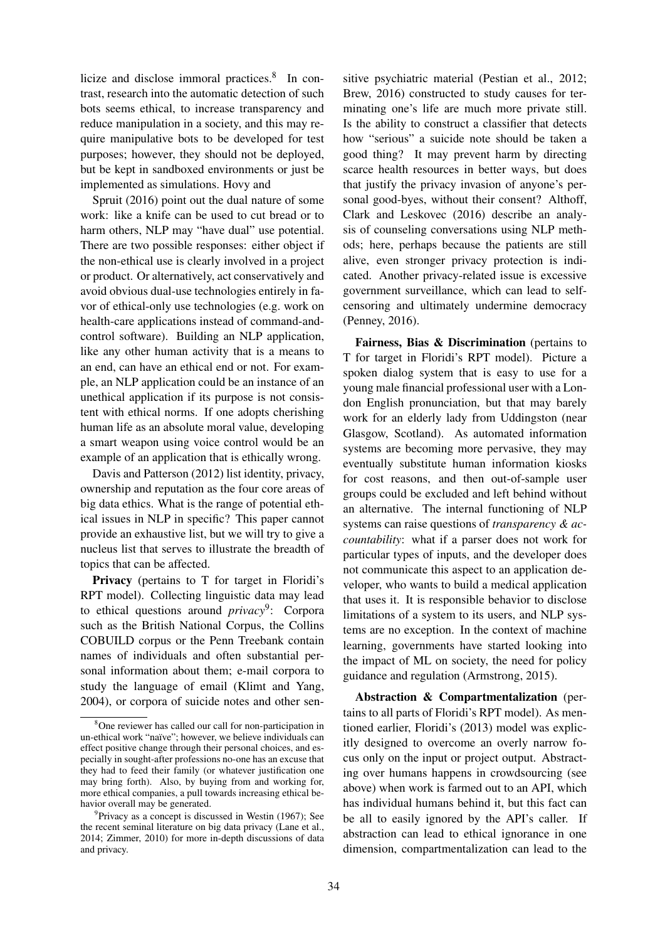licize and disclose immoral practices.<sup>8</sup> In contrast, research into the automatic detection of such bots seems ethical, to increase transparency and reduce manipulation in a society, and this may require manipulative bots to be developed for test purposes; however, they should not be deployed, but be kept in sandboxed environments or just be implemented as simulations. Hovy and

Spruit (2016) point out the dual nature of some work: like a knife can be used to cut bread or to harm others, NLP may "have dual" use potential. There are two possible responses: either object if the non-ethical use is clearly involved in a project or product. Or alternatively, act conservatively and avoid obvious dual-use technologies entirely in favor of ethical-only use technologies (e.g. work on health-care applications instead of command-andcontrol software). Building an NLP application, like any other human activity that is a means to an end, can have an ethical end or not. For example, an NLP application could be an instance of an unethical application if its purpose is not consistent with ethical norms. If one adopts cherishing human life as an absolute moral value, developing a smart weapon using voice control would be an example of an application that is ethically wrong.

Davis and Patterson (2012) list identity, privacy, ownership and reputation as the four core areas of big data ethics. What is the range of potential ethical issues in NLP in specific? This paper cannot provide an exhaustive list, but we will try to give a nucleus list that serves to illustrate the breadth of topics that can be affected.

Privacy (pertains to T for target in Floridi's RPT model). Collecting linguistic data may lead to ethical questions around *privacy*<sup>9</sup> : Corpora such as the British National Corpus, the Collins COBUILD corpus or the Penn Treebank contain names of individuals and often substantial personal information about them; e-mail corpora to study the language of email (Klimt and Yang, 2004), or corpora of suicide notes and other sen-

sitive psychiatric material (Pestian et al., 2012; Brew, 2016) constructed to study causes for terminating one's life are much more private still. Is the ability to construct a classifier that detects how "serious" a suicide note should be taken a good thing? It may prevent harm by directing scarce health resources in better ways, but does that justify the privacy invasion of anyone's personal good-byes, without their consent? Althoff, Clark and Leskovec (2016) describe an analysis of counseling conversations using NLP methods; here, perhaps because the patients are still alive, even stronger privacy protection is indicated. Another privacy-related issue is excessive government surveillance, which can lead to selfcensoring and ultimately undermine democracy (Penney, 2016).

Fairness, Bias & Discrimination (pertains to T for target in Floridi's RPT model). Picture a spoken dialog system that is easy to use for a young male financial professional user with a London English pronunciation, but that may barely work for an elderly lady from Uddingston (near Glasgow, Scotland). As automated information systems are becoming more pervasive, they may eventually substitute human information kiosks for cost reasons, and then out-of-sample user groups could be excluded and left behind without an alternative. The internal functioning of NLP systems can raise questions of *transparency & accountability*: what if a parser does not work for particular types of inputs, and the developer does not communicate this aspect to an application developer, who wants to build a medical application that uses it. It is responsible behavior to disclose limitations of a system to its users, and NLP systems are no exception. In the context of machine learning, governments have started looking into the impact of ML on society, the need for policy guidance and regulation (Armstrong, 2015).

Abstraction & Compartmentalization (pertains to all parts of Floridi's RPT model). As mentioned earlier, Floridi's (2013) model was explicitly designed to overcome an overly narrow focus only on the input or project output. Abstracting over humans happens in crowdsourcing (see above) when work is farmed out to an API, which has individual humans behind it, but this fact can be all to easily ignored by the API's caller. If abstraction can lead to ethical ignorance in one dimension, compartmentalization can lead to the

<sup>8</sup>One reviewer has called our call for non-participation in un-ethical work "naïve"; however, we believe individuals can effect positive change through their personal choices, and especially in sought-after professions no-one has an excuse that they had to feed their family (or whatever justification one may bring forth). Also, by buying from and working for, more ethical companies, a pull towards increasing ethical behavior overall may be generated.

<sup>&</sup>lt;sup>9</sup> Privacy as a concept is discussed in Westin (1967); See the recent seminal literature on big data privacy (Lane et al., 2014; Zimmer, 2010) for more in-depth discussions of data and privacy.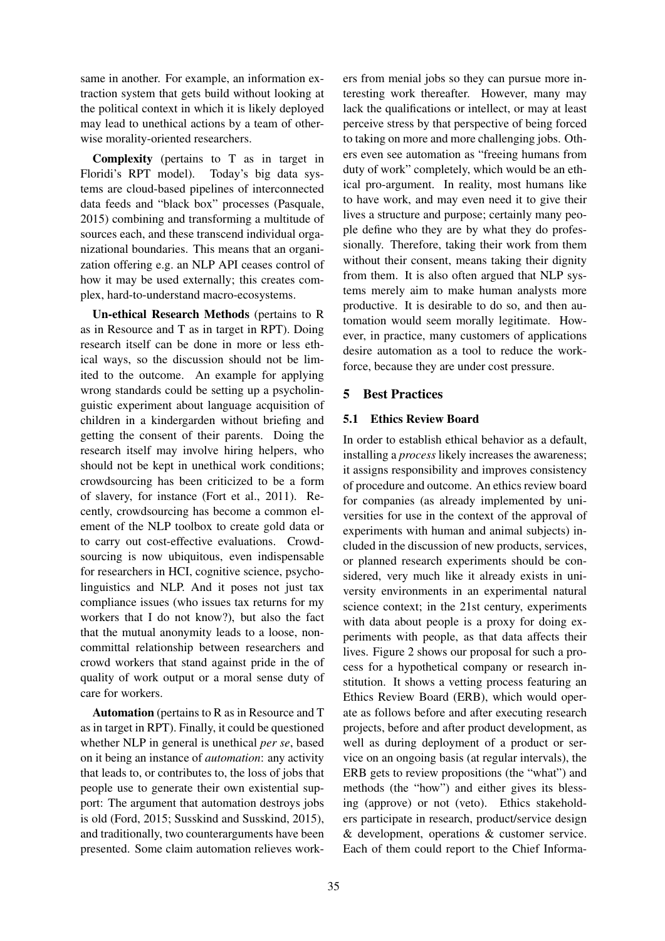same in another. For example, an information extraction system that gets build without looking at the political context in which it is likely deployed may lead to unethical actions by a team of otherwise morality-oriented researchers.

Complexity (pertains to T as in target in Floridi's RPT model). Today's big data systems are cloud-based pipelines of interconnected data feeds and "black box" processes (Pasquale, 2015) combining and transforming a multitude of sources each, and these transcend individual organizational boundaries. This means that an organization offering e.g. an NLP API ceases control of how it may be used externally; this creates complex, hard-to-understand macro-ecosystems.

Un-ethical Research Methods (pertains to R as in Resource and T as in target in RPT). Doing research itself can be done in more or less ethical ways, so the discussion should not be limited to the outcome. An example for applying wrong standards could be setting up a psycholinguistic experiment about language acquisition of children in a kindergarden without briefing and getting the consent of their parents. Doing the research itself may involve hiring helpers, who should not be kept in unethical work conditions; crowdsourcing has been criticized to be a form of slavery, for instance (Fort et al., 2011). Recently, crowdsourcing has become a common element of the NLP toolbox to create gold data or to carry out cost-effective evaluations. Crowdsourcing is now ubiquitous, even indispensable for researchers in HCI, cognitive science, psycholinguistics and NLP. And it poses not just tax compliance issues (who issues tax returns for my workers that I do not know?), but also the fact that the mutual anonymity leads to a loose, noncommittal relationship between researchers and crowd workers that stand against pride in the of quality of work output or a moral sense duty of care for workers.

Automation (pertains to R as in Resource and T as in target in RPT). Finally, it could be questioned whether NLP in general is unethical *per se*, based on it being an instance of *automation*: any activity that leads to, or contributes to, the loss of jobs that people use to generate their own existential support: The argument that automation destroys jobs is old (Ford, 2015; Susskind and Susskind, 2015), and traditionally, two counterarguments have been presented. Some claim automation relieves workers from menial jobs so they can pursue more interesting work thereafter. However, many may lack the qualifications or intellect, or may at least perceive stress by that perspective of being forced to taking on more and more challenging jobs. Others even see automation as "freeing humans from duty of work" completely, which would be an ethical pro-argument. In reality, most humans like to have work, and may even need it to give their lives a structure and purpose; certainly many people define who they are by what they do professionally. Therefore, taking their work from them without their consent, means taking their dignity from them. It is also often argued that NLP systems merely aim to make human analysts more productive. It is desirable to do so, and then automation would seem morally legitimate. However, in practice, many customers of applications desire automation as a tool to reduce the workforce, because they are under cost pressure.

# 5 Best Practices

# 5.1 Ethics Review Board

In order to establish ethical behavior as a default, installing a *process* likely increases the awareness; it assigns responsibility and improves consistency of procedure and outcome. An ethics review board for companies (as already implemented by universities for use in the context of the approval of experiments with human and animal subjects) included in the discussion of new products, services, or planned research experiments should be considered, very much like it already exists in university environments in an experimental natural science context; in the 21st century, experiments with data about people is a proxy for doing experiments with people, as that data affects their lives. Figure 2 shows our proposal for such a process for a hypothetical company or research institution. It shows a vetting process featuring an Ethics Review Board (ERB), which would operate as follows before and after executing research projects, before and after product development, as well as during deployment of a product or service on an ongoing basis (at regular intervals), the ERB gets to review propositions (the "what") and methods (the "how") and either gives its blessing (approve) or not (veto). Ethics stakeholders participate in research, product/service design & development, operations & customer service. Each of them could report to the Chief Informa-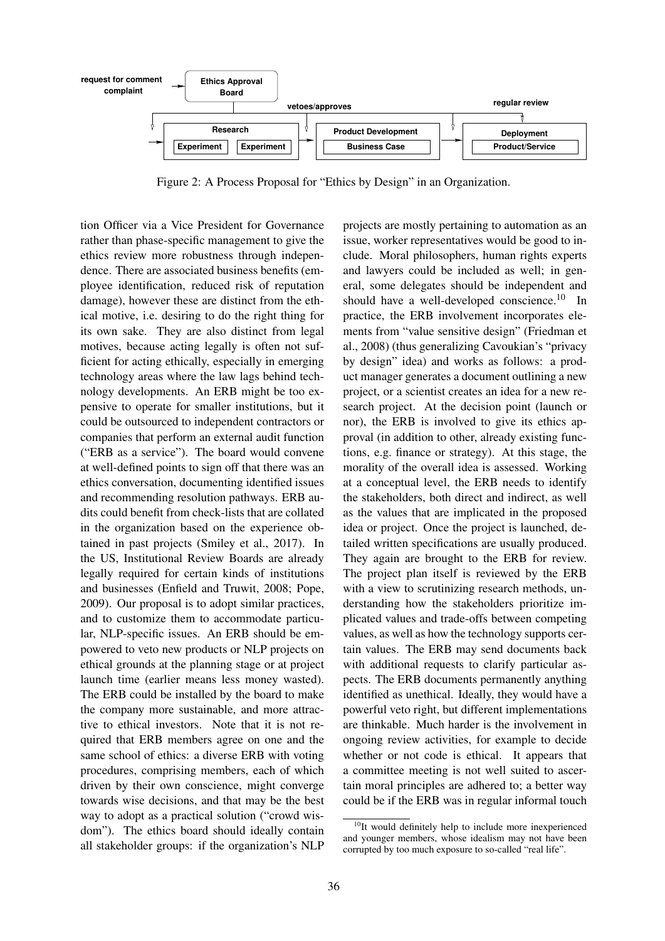

Figure 2: A Process Proposal for "Ethics by Design" in an Organization.

tion Officer via a Vice President for Governance rather than phase-specific management to give the ethics review more robustness through independence. There are associated business benefits (employee identification, reduced risk of reputation damage), however these are distinct from the ethical motive, i.e. desiring to do the right thing for its own sake. They are also distinct from legal motives, because acting legally is often not sufficient for acting ethically, especially in emerging technology areas where the law lags behind technology developments. An ERB might be too expensive to operate for smaller institutions, but it could be outsourced to independent contractors or companies that perform an external audit function ("ERB as a service"). The board would convene at well-defined points to sign off that there was an ethics conversation, documenting identified issues and recommending resolution pathways. ERB audits could benefit from check-lists that are collated in the organization based on the experience obtained in past projects (Smiley et al., 2017). In the US, Institutional Review Boards are already legally required for certain kinds of institutions and businesses (Enfield and Truwit, 2008; Pope, 2009). Our proposal is to adopt similar practices, and to customize them to accommodate particular, NLP-specific issues. An ERB should be empowered to veto new products or NLP projects on ethical grounds at the planning stage or at project launch time (earlier means less money wasted). The ERB could be installed by the board to make the company more sustainable, and more attractive to ethical investors. Note that it is not required that ERB members agree on one and the same school of ethics: a diverse ERB with voting procedures, comprising members, each of which driven by their own conscience, might converge towards wise decisions, and that may be the best way to adopt as a practical solution ("crowd wisdom"). The ethics board should ideally contain all stakeholder groups: if the organization's NLP

projects are mostly pertaining to automation as an issue, worker representatives would be good to include. Moral philosophers, human rights experts and lawyers could be included as well; in general, some delegates should be independent and should have a well-developed conscience.<sup>10</sup> In practice, the ERB involvement incorporates elements from "value sensitive design" (Friedman et al., 2008) (thus generalizing Cavoukian's "privacy by design" idea) and works as follows: a product manager generates a document outlining a new project, or a scientist creates an idea for a new research project. At the decision point (launch or nor), the ERB is involved to give its ethics approval (in addition to other, already existing functions, e.g. finance or strategy). At this stage, the morality of the overall idea is assessed. Working at a conceptual level, the ERB needs to identify the stakeholders, both direct and indirect, as well as the values that are implicated in the proposed idea or project. Once the project is launched, detailed written specifications are usually produced. They again are brought to the ERB for review. The project plan itself is reviewed by the ERB with a view to scrutinizing research methods, understanding how the stakeholders prioritize implicated values and trade-offs between competing values, as well as how the technology supports certain values. The ERB may send documents back with additional requests to clarify particular aspects. The ERB documents permanently anything identified as unethical. Ideally, they would have a powerful veto right, but different implementations are thinkable. Much harder is the involvement in ongoing review activities, for example to decide whether or not code is ethical. It appears that a committee meeting is not well suited to ascertain moral principles are adhered to; a better way could be if the ERB was in regular informal touch

<sup>&</sup>lt;sup>10</sup>It would definitely help to include more inexperienced and younger members, whose idealism may not have been corrupted by too much exposure to so-called "real life".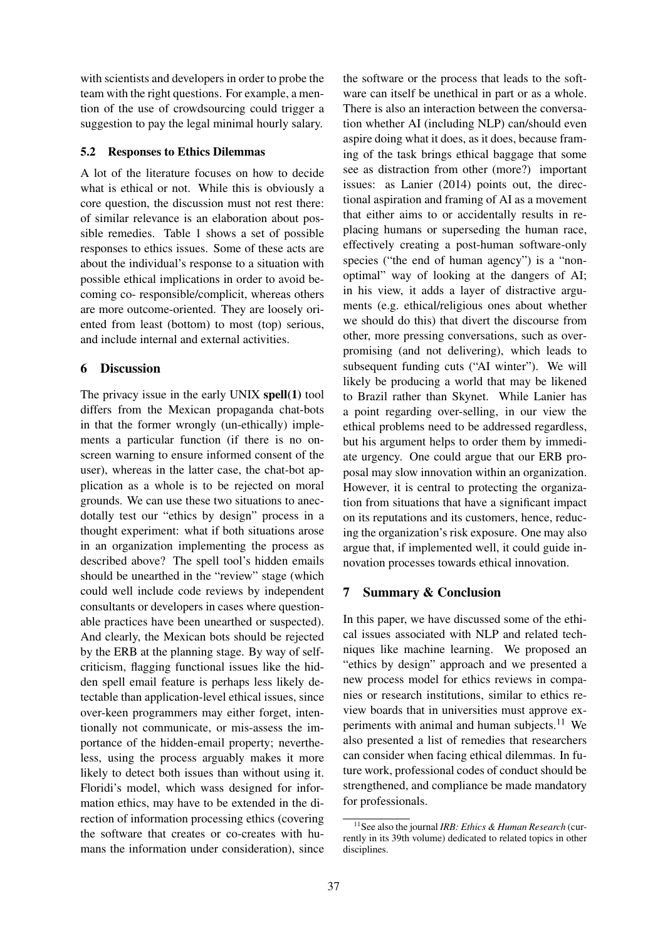with scientists and developers in order to probe the team with the right questions. For example, a mention of the use of crowdsourcing could trigger a suggestion to pay the legal minimal hourly salary.

## 5.2 Responses to Ethics Dilemmas

A lot of the literature focuses on how to decide what is ethical or not. While this is obviously a core question, the discussion must not rest there: of similar relevance is an elaboration about possible remedies. Table 1 shows a set of possible responses to ethics issues. Some of these acts are about the individual's response to a situation with possible ethical implications in order to avoid becoming co- responsible/complicit, whereas others are more outcome-oriented. They are loosely oriented from least (bottom) to most (top) serious, and include internal and external activities.

### 6 Discussion

The privacy issue in the early UNIX spell(1) tool differs from the Mexican propaganda chat-bots in that the former wrongly (un-ethically) implements a particular function (if there is no onscreen warning to ensure informed consent of the user), whereas in the latter case, the chat-bot application as a whole is to be rejected on moral grounds. We can use these two situations to anecdotally test our "ethics by design" process in a thought experiment: what if both situations arose in an organization implementing the process as described above? The spell tool's hidden emails should be unearthed in the "review" stage (which could well include code reviews by independent consultants or developers in cases where questionable practices have been unearthed or suspected). And clearly, the Mexican bots should be rejected by the ERB at the planning stage. By way of selfcriticism, flagging functional issues like the hidden spell email feature is perhaps less likely detectable than application-level ethical issues, since over-keen programmers may either forget, intentionally not communicate, or mis-assess the importance of the hidden-email property; nevertheless, using the process arguably makes it more likely to detect both issues than without using it. Floridi's model, which wass designed for information ethics, may have to be extended in the direction of information processing ethics (covering the software that creates or co-creates with humans the information under consideration), since

the software or the process that leads to the software can itself be unethical in part or as a whole. There is also an interaction between the conversation whether AI (including NLP) can/should even aspire doing what it does, as it does, because framing of the task brings ethical baggage that some see as distraction from other (more?) important issues: as Lanier (2014) points out, the directional aspiration and framing of AI as a movement that either aims to or accidentally results in replacing humans or superseding the human race, effectively creating a post-human software-only species ("the end of human agency") is a "nonoptimal" way of looking at the dangers of AI; in his view, it adds a layer of distractive arguments (e.g. ethical/religious ones about whether we should do this) that divert the discourse from other, more pressing conversations, such as overpromising (and not delivering), which leads to subsequent funding cuts ("AI winter"). We will likely be producing a world that may be likened to Brazil rather than Skynet. While Lanier has a point regarding over-selling, in our view the ethical problems need to be addressed regardless, but his argument helps to order them by immediate urgency. One could argue that our ERB proposal may slow innovation within an organization. However, it is central to protecting the organization from situations that have a significant impact on its reputations and its customers, hence, reducing the organization's risk exposure. One may also argue that, if implemented well, it could guide innovation processes towards ethical innovation.

# 7 Summary & Conclusion

In this paper, we have discussed some of the ethical issues associated with NLP and related techniques like machine learning. We proposed an "ethics by design" approach and we presented a new process model for ethics reviews in companies or research institutions, similar to ethics review boards that in universities must approve experiments with animal and human subjects.<sup>11</sup> We also presented a list of remedies that researchers can consider when facing ethical dilemmas. In future work, professional codes of conduct should be strengthened, and compliance be made mandatory for professionals.

<sup>11</sup>See also the journal *IRB: Ethics & Human Research* (currently in its 39th volume) dedicated to related topics in other disciplines.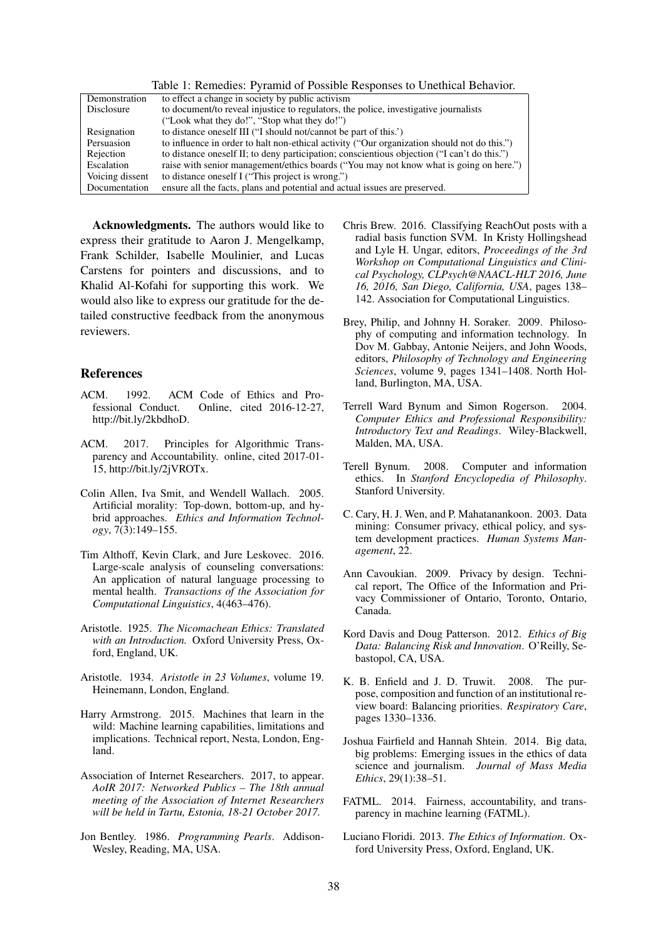|                 | Table 1. Kenicales. I yianna of I ossible Kesponses to Uncullear Denaviol.                  |
|-----------------|---------------------------------------------------------------------------------------------|
| Demonstration   | to effect a change in society by public activism                                            |
| Disclosure      | to document/to reveal injustice to regulators, the police, investigative journalists        |
|                 | ("Look what they do!", "Stop what they do!")                                                |
| Resignation     | to distance oneself III ("I should not/cannot be part of this.")                            |
| Persuasion      | to influence in order to halt non-ethical activity ("Our organization should not do this.") |
| Rejection       | to distance oneself II; to deny participation; conscientious objection ("I can't do this.") |
| Escalation      | raise with senior management/ethics boards ("You may not know what is going on here.")      |
| Voicing dissent | to distance oneself I ("This project is wrong.")                                            |
| Documentation   | ensure all the facts, plans and potential and actual issues are preserved.                  |

Table 1: Remedies: Pyramid of Possible Responses to Unethical Behavior.

Acknowledgments. The authors would like to express their gratitude to Aaron J. Mengelkamp, Frank Schilder, Isabelle Moulinier, and Lucas Carstens for pointers and discussions, and to Khalid Al-Kofahi for supporting this work. We would also like to express our gratitude for the detailed constructive feedback from the anonymous reviewers.

#### References

- ACM. 1992. ACM Code of Ethics and Professional Conduct. Online, cited 2016-12-27, http://bit.ly/2kbdhoD.
- ACM. 2017. Principles for Algorithmic Transparency and Accountability. online, cited 2017-01- 15, http://bit.ly/2jVROTx.
- Colin Allen, Iva Smit, and Wendell Wallach. 2005. Artificial morality: Top-down, bottom-up, and hybrid approaches. *Ethics and Information Technology*, 7(3):149–155.
- Tim Althoff, Kevin Clark, and Jure Leskovec. 2016. Large-scale analysis of counseling conversations: An application of natural language processing to mental health. *Transactions of the Association for Computational Linguistics*, 4(463–476).
- Aristotle. 1925. *The Nicomachean Ethics: Translated with an Introduction.* Oxford University Press, Oxford, England, UK.
- Aristotle. 1934. *Aristotle in 23 Volumes*, volume 19. Heinemann, London, England.
- Harry Armstrong. 2015. Machines that learn in the wild: Machine learning capabilities, limitations and implications. Technical report, Nesta, London, England.
- Association of Internet Researchers. 2017, to appear. *AoIR 2017: Networked Publics – The 18th annual meeting of the Association of Internet Researchers will be held in Tartu, Estonia, 18-21 October 2017.*
- Jon Bentley. 1986. *Programming Pearls*. Addison-Wesley, Reading, MA, USA.
- Chris Brew. 2016. Classifying ReachOut posts with a radial basis function SVM. In Kristy Hollingshead and Lyle H. Ungar, editors, *Proceedings of the 3rd Workshop on Computational Linguistics and Clinical Psychology, CLPsych@NAACL-HLT 2016, June 16, 2016, San Diego, California, USA*, pages 138– 142. Association for Computational Linguistics.
- Brey, Philip, and Johnny H. Soraker. 2009. Philosophy of computing and information technology. In Dov M. Gabbay, Antonie Neijers, and John Woods, editors, *Philosophy of Technology and Engineering Sciences*, volume 9, pages 1341–1408. North Holland, Burlington, MA, USA.
- Terrell Ward Bynum and Simon Rogerson. 2004. *Computer Ethics and Professional Responsibility: Introductory Text and Readings*. Wiley-Blackwell, Malden, MA, USA.
- Terell Bynum. 2008. Computer and information ethics. In *Stanford Encyclopedia of Philosophy*. Stanford University.
- C. Cary, H. J. Wen, and P. Mahatanankoon. 2003. Data mining: Consumer privacy, ethical policy, and system development practices. *Human Systems Management*, 22.
- Ann Cavoukian. 2009. Privacy by design. Technical report, The Office of the Information and Privacy Commissioner of Ontario, Toronto, Ontario, Canada.
- Kord Davis and Doug Patterson. 2012. *Ethics of Big Data: Balancing Risk and Innovation*. O'Reilly, Sebastopol, CA, USA.
- K. B. Enfield and J. D. Truwit. 2008. The purpose, composition and function of an institutional review board: Balancing priorities. *Respiratory Care*, pages 1330–1336.
- Joshua Fairfield and Hannah Shtein. 2014. Big data, big problems: Emerging issues in the ethics of data science and journalism. *Journal of Mass Media Ethics*, 29(1):38–51.
- FATML. 2014. Fairness, accountability, and transparency in machine learning (FATML).
- Luciano Floridi. 2013. *The Ethics of Information*. Oxford University Press, Oxford, England, UK.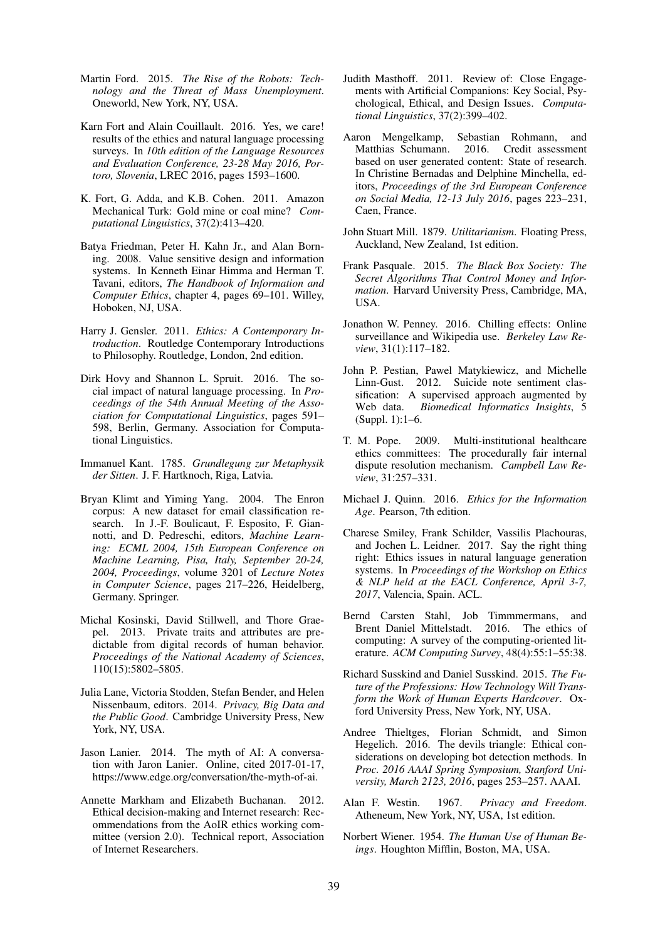- Martin Ford. 2015. *The Rise of the Robots: Technology and the Threat of Mass Unemployment*. Oneworld, New York, NY, USA.
- Karn Fort and Alain Couillault. 2016. Yes, we care! results of the ethics and natural language processing surveys. In *10th edition of the Language Resources and Evaluation Conference, 23-28 May 2016, Portoro, Slovenia*, LREC 2016, pages 1593–1600.
- K. Fort, G. Adda, and K.B. Cohen. 2011. Amazon Mechanical Turk: Gold mine or coal mine? *Computational Linguistics*, 37(2):413–420.
- Batya Friedman, Peter H. Kahn Jr., and Alan Borning. 2008. Value sensitive design and information systems. In Kenneth Einar Himma and Herman T. Tavani, editors, *The Handbook of Information and Computer Ethics*, chapter 4, pages 69–101. Willey, Hoboken, NJ, USA.
- Harry J. Gensler. 2011. *Ethics: A Contemporary Introduction*. Routledge Contemporary Introductions to Philosophy. Routledge, London, 2nd edition.
- Dirk Hovy and Shannon L. Spruit. 2016. The social impact of natural language processing. In *Proceedings of the 54th Annual Meeting of the Association for Computational Linguistics*, pages 591– 598, Berlin, Germany. Association for Computational Linguistics.
- Immanuel Kant. 1785. *Grundlegung zur Metaphysik der Sitten*. J. F. Hartknoch, Riga, Latvia.
- Bryan Klimt and Yiming Yang. 2004. The Enron corpus: A new dataset for email classification research. In J.-F. Boulicaut, F. Esposito, F. Giannotti, and D. Pedreschi, editors, *Machine Learning: ECML 2004, 15th European Conference on Machine Learning, Pisa, Italy, September 20-24, 2004, Proceedings*, volume 3201 of *Lecture Notes in Computer Science*, pages 217–226, Heidelberg, Germany. Springer.
- Michal Kosinski, David Stillwell, and Thore Graepel. 2013. Private traits and attributes are predictable from digital records of human behavior. *Proceedings of the National Academy of Sciences*, 110(15):5802–5805.
- Julia Lane, Victoria Stodden, Stefan Bender, and Helen Nissenbaum, editors. 2014. *Privacy, Big Data and the Public Good*. Cambridge University Press, New York, NY, USA.
- Jason Lanier. 2014. The myth of AI: A conversation with Jaron Lanier. Online, cited 2017-01-17, https://www.edge.org/conversation/the-myth-of-ai.
- Annette Markham and Elizabeth Buchanan. 2012. Ethical decision-making and Internet research: Recommendations from the AoIR ethics working committee (version 2.0). Technical report, Association of Internet Researchers.
- Judith Masthoff. 2011. Review of: Close Engagements with Artificial Companions: Key Social, Psychological, Ethical, and Design Issues. *Computational Linguistics*, 37(2):399–402.
- Aaron Mengelkamp, Sebastian Rohmann, and Matthias Schumann. 2016. Credit assessment based on user generated content: State of research. In Christine Bernadas and Delphine Minchella, editors, *Proceedings of the 3rd European Conference on Social Media, 12-13 July 2016*, pages 223–231, Caen, France.
- John Stuart Mill. 1879. *Utilitarianism*. Floating Press, Auckland, New Zealand, 1st edition.
- Frank Pasquale. 2015. *The Black Box Society: The Secret Algorithms That Control Money and Information*. Harvard University Press, Cambridge, MA, USA.
- Jonathon W. Penney. 2016. Chilling effects: Online surveillance and Wikipedia use. *Berkeley Law Review*, 31(1):117–182.
- John P. Pestian, Pawel Matykiewicz, and Michelle Linn-Gust. 2012. Suicide note sentiment classification: A supervised approach augmented by Web data. *Biomedical Informatics Insights*, 5 (Suppl. 1):1–6.
- T. M. Pope. 2009. Multi-institutional healthcare ethics committees: The procedurally fair internal dispute resolution mechanism. *Campbell Law Review*, 31:257–331.
- Michael J. Quinn. 2016. *Ethics for the Information Age*. Pearson, 7th edition.
- Charese Smiley, Frank Schilder, Vassilis Plachouras, and Jochen L. Leidner. 2017. Say the right thing right: Ethics issues in natural language generation systems. In *Proceedings of the Workshop on Ethics & NLP held at the EACL Conference, April 3-7, 2017*, Valencia, Spain. ACL.
- Bernd Carsten Stahl, Job Timmmermans, and Brent Daniel Mittelstadt. 2016. The ethics of computing: A survey of the computing-oriented literature. *ACM Computing Survey*, 48(4):55:1–55:38.
- Richard Susskind and Daniel Susskind. 2015. *The Future of the Professions: How Technology Will Transform the Work of Human Experts Hardcover*. Oxford University Press, New York, NY, USA.
- Andree Thieltges, Florian Schmidt, and Simon Hegelich. 2016. The devils triangle: Ethical considerations on developing bot detection methods. In *Proc. 2016 AAAI Spring Symposium, Stanford University, March 2123, 2016*, pages 253–257. AAAI.
- Alan F. Westin. 1967. *Privacy and Freedom*. Atheneum, New York, NY, USA, 1st edition.
- Norbert Wiener. 1954. *The Human Use of Human Beings*. Houghton Mifflin, Boston, MA, USA.